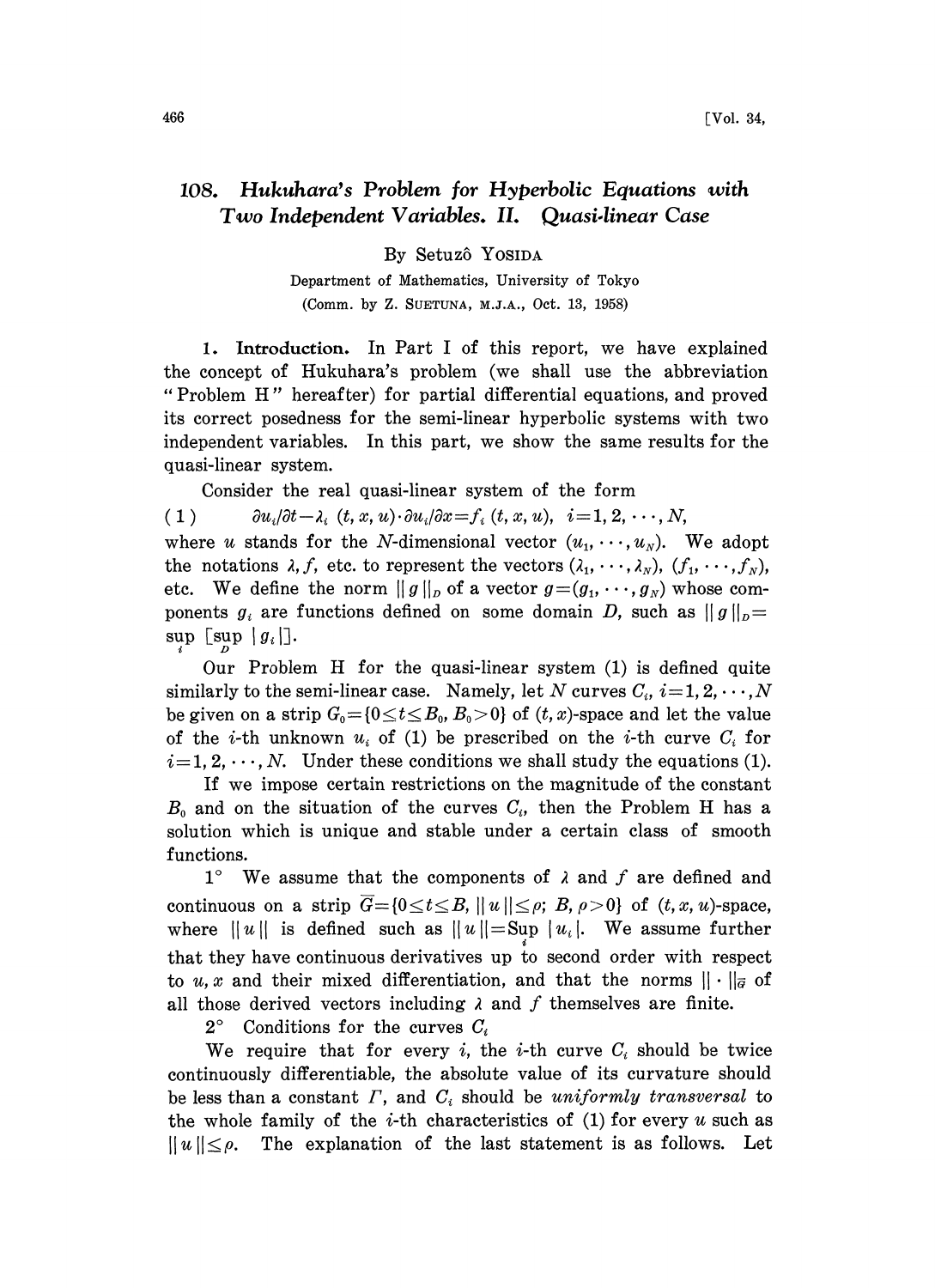## 108. Hukuhara's Problem for Hyperbolic Equations with Two Independent Variables. II. Quasi.linear Case

By Setuzô Yosida

Department of Mathematics, University of Tokyo (Comm. by Z. SUETUNA, M.J.A., Oct. 13, 1958)

1. Introduction. In Part <sup>I</sup> of this report, we have explained the concept of Hukuhara's problem (we shall use the abbreviation "Problem H" hereafter) for partial differential equations, and proved its correct posedness for the semi-linear hyperbolic systems with two independent variables. In this part, we show the same results for the quasi-linear system.

Consider the real quasi-linear system of the form

(1)  $\partial u_i/\partial t - \lambda_i(t, x, u) \cdot \partial u_i/\partial x = f_i(t, x, u), i=1, 2, \dots, N,$ where u stands for the N-dimensional vector  $(u_1, \dots, u_N)$ . We adopt the notations  $\lambda, f$ , etc. to represent the vectors  $(\lambda_1, \dots, \lambda_N)$ ,  $(f_1, \dots, f_N)$ , etc. We define the norm  $||g||_p$  of a vector  $g = (g_1, \dots, g_N)$  whose components  $g_i$  are functions defined on some domain D, such as  $||g||_p =$ 

 $\sup_{\Omega}$  [sup | g<sub>i</sub>].

Our Problem H for the quasi-linear system (1) is defined quite similarly to the semi-linear case. Namely, let N curves  $C_i$ ,  $i=1, 2, \dots, N$ be given on a strip  $G_0 = \{0 \le t \le B_0, B_0 > 0\}$  of  $(t, x)$ -space and let the value of the *i*-th unknown  $u_i$  of (1) be prescribed on the *i*-th curve  $C_i$  for  $i=1, 2, \dots, N$ . Under these conditions we shall study the equations (1).

If we impose certain restrictions on the magnitude of the constant  $B_0$  and on the situation of the curves  $C_i$ , then the Problem H has a solution which is unique and stable under a certain class of smooth functions.

1° We assume that the components of  $\lambda$  and  $f$  are defined and continuous on a strip  $\overline{G}=[0 \le t \le B, ||u|| \le \rho; B, \rho>0]$  of  $(t, x, u)$ -space, where  $||u||$  is defined such as  $||u|| = \text{Sup } |u_i|$ . We assume further that they have continuous derivatives up to second order with respect to u, x and their mixed differentiation, and that the norms  $|| \cdot ||_{\vec{q}}$  of all those derived vectors including  $\lambda$  and  $f$  themselves are finite.

 $2^{\circ}$  Conditions for the curves  $C_i$ 

We require that for every *i*, the *i*-th curve  $C_i$  should be twice continuously differentiable, the absolute value of its curvature should be less than a constant  $\Gamma$ , and  $C_i$  should be uniformly transversal to the whole family of the *i*-th characteristics of  $(1)$  for every u such as  $||u|| \le \rho$ . The explanation of the last statement is as follows. Let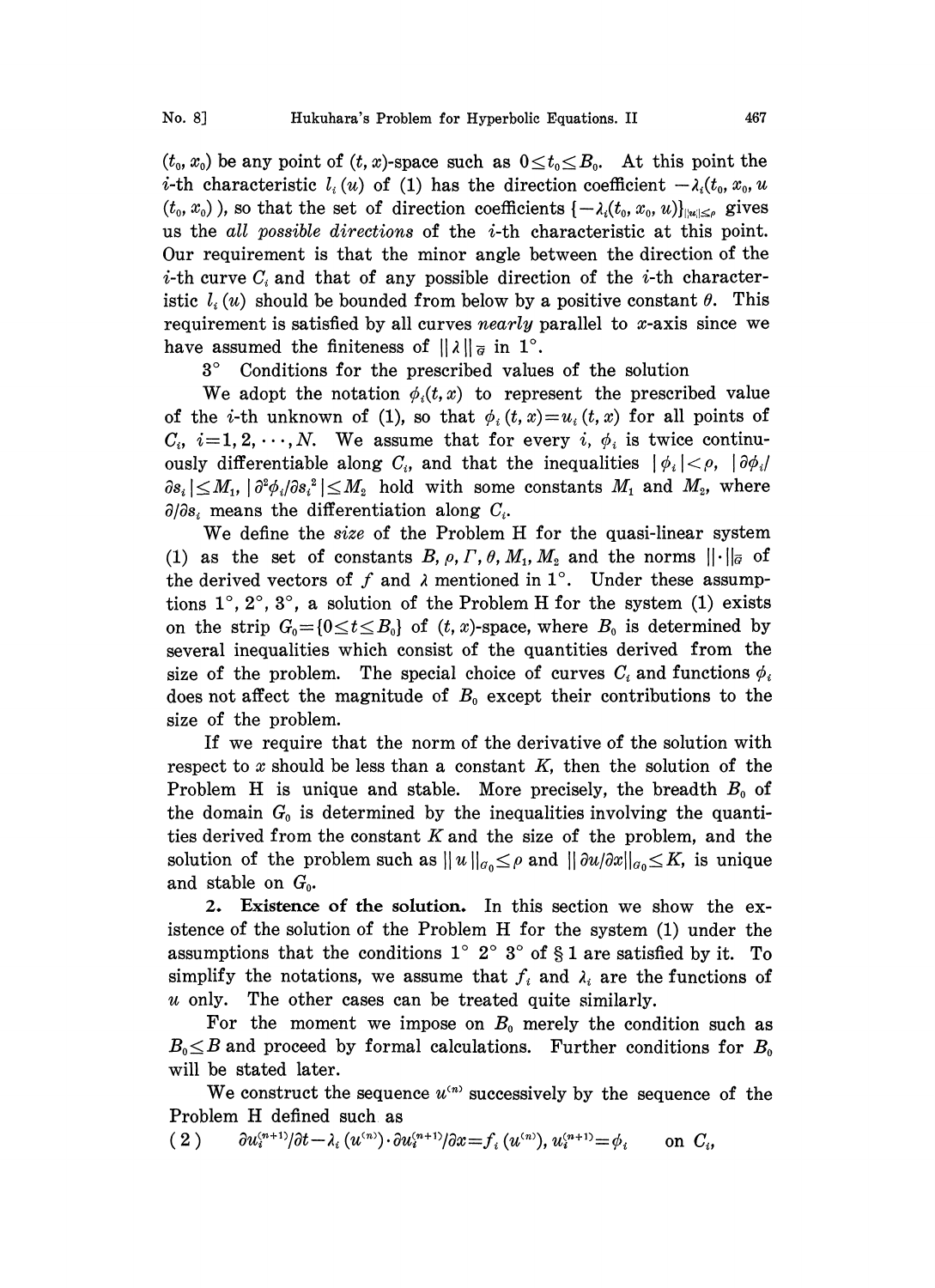$(t_0, x_0)$  be any point of  $(t, x)$ -space such as  $0 \le t_0 \le B_0$ . At this point the *i*-th characteristic  $l_i(u)$  of (1) has the direction coefficient  $-\lambda_i(t_0, x_0, u_0)$  $(t_0, x_0)$ , so that the set of direction coefficients  $\{-\lambda_i(t_0, x_0, u)\}_{\|\alpha\|\leq \rho}$  gives us the all possible directions of the i-th characteristic at this point. Our requirement is that the minor angle between the direction of the *i*-th curve  $C_i$  and that of any possible direction of the *i*-th characteristic  $l_i(u)$  should be bounded from below by a positive constant  $\theta$ . This requirement is satisfied by all curves nearly parallel to  $x$ -axis since we have assumed the finiteness of  $||\lambda||_{\overline{g}}$  in 1<sup>o</sup>.

3<sup>°</sup> Conditions for the prescribed values of the solution

We adopt the notation  $\phi_i(t,x)$  to represent the prescribed value of the *i*-th unknown of (1), so that  $\phi_i(t, x) = u_i(t, x)$  for all points of  $C_i$ ,  $i=1, 2, \dots, N$ . We assume that for every i,  $\phi_i$  is twice continuously differentiable along  $C_i$ , and that the inequalities  $|\phi_i| < \rho$ ,  $|\partial \phi_i|$  $\partial s_i \leq M_1, |\partial^2 \phi_i/\partial s_i|^2 \leq M_2$  hold with some constants  $M_1$  and  $M_2$ , where  $\partial/\partial s_i$  means the differentiation along  $C_i$ .<br>We define the *size* of the Problem H for the quasi-linear system  $\partial/\partial s_i$  means the differentiation along  $C_i$ .

We define the size of the Problem H for the quasi-linear system (1) as the set of constants B,  $\rho$ ,  $\Gamma$ ,  $\theta$ ,  $M_1$ ,  $M_2$  and the norms  $\|\cdot\|_{\bar{G}}$  of the derived vectors of f and  $\lambda$  mentioned in 1°. Under these assumptions  $1^{\circ}, 2^{\circ}, 3^{\circ}$ , a solution of the Problem H for the system (1) exists on the strip  $G_0 = \{0 \le t \le B_0\}$  of  $(t, x)$ -space, where  $B_0$  is determined by several inequalities which consist of the quantities derived from the size of the problem. The special choice of curves  $C_i$  and functions  $\phi_i$ does not affect the magnitude of  $B_0$  except their contributions to the size of the problem.

If we require that the norm of the derivative of the solution with respect to  $x$  should be less than a constant  $K$ , then the solution of the Problem H is unique and stable. More precisely, the breadth  $B_0$  of the domain  $G_0$  is determined by the inequalities involving the quantities derived from the constant  $K$  and the size of the problem, and the solution of the problem such as  $||u||_{\sigma_0} \le \rho$  and  $||\partial u/\partial x||_{\sigma_0} \le K$ , is unique and stable on  $G_0$ .

2. Existence of the solution. In this section we show the existence of the solution of the Problem H for the system (1) under the assumptions that the conditions  $1^\circ 2^\circ 3^\circ$  of § 1 are satisfied by it. To simplify the notations, we assume that  $f_i$  and  $\lambda_i$  are the functions of u only. The other cases can be treated quite similarly.

For the moment we impose on  $B_0$  merely the condition such as  $B_0 \leq B$  and proceed by formal calculations. Further conditions for  $B_0$ will be stated later.

We construct the sequence  $u^{(n)}$  successively by the sequence of the Problem H defined such. as

( 2 )  $\partial u_i^{(n+1)}/\partial t - \lambda_i (u^{(n)}) \cdot \partial u_i^{(n+1)}/\partial x = f_i (u^{(n)}), u_i^{(n+1)} = \phi_i$  on  $C_i$ ,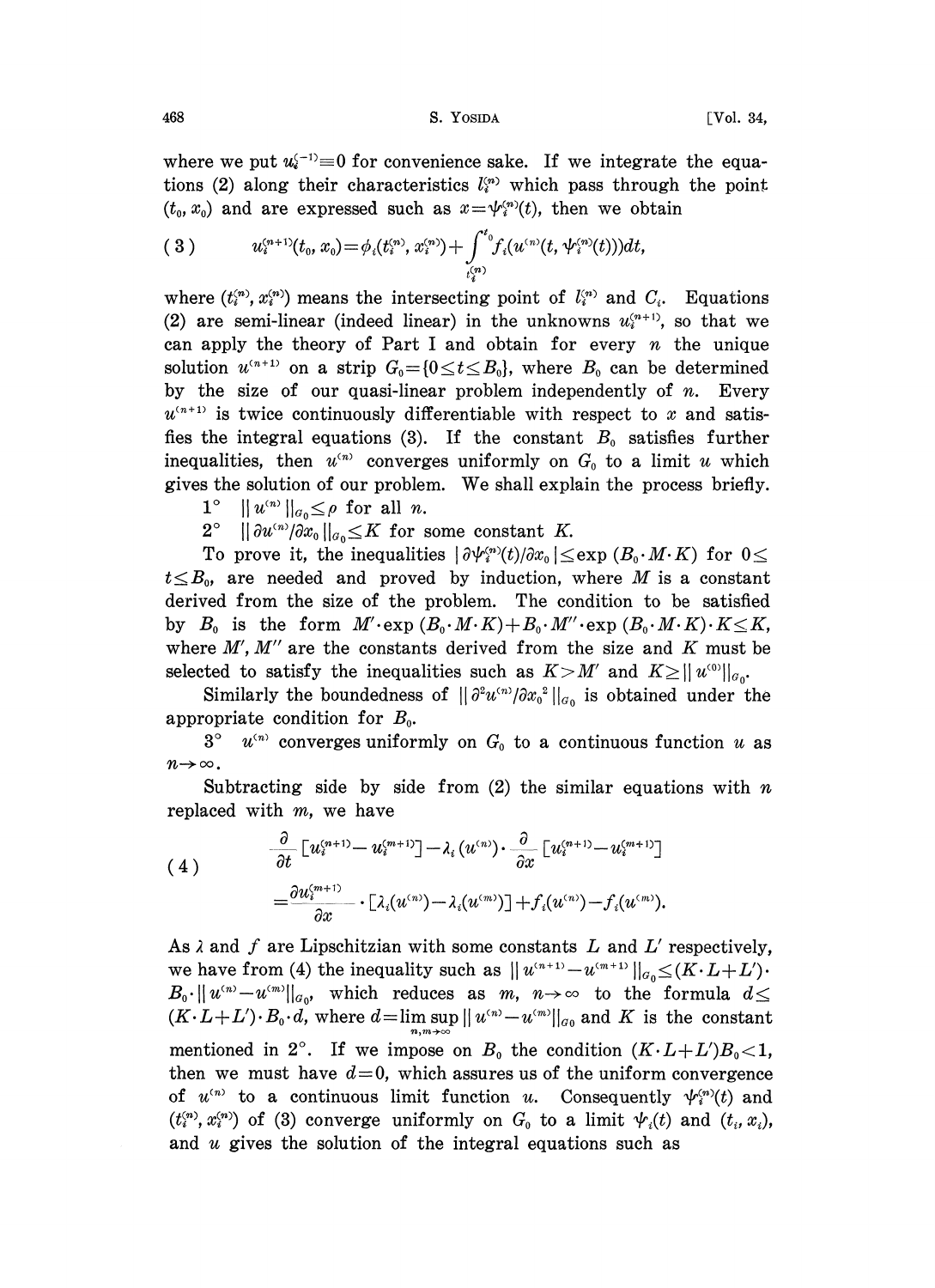## 468 S. YOSIDA [Vol. 34,

where we put  $u_i^{(-1)} \equiv 0$  for convenience sake. If we integrate the equations (2) along their characteristics  $l_i^{(n)}$  which pass through the point  $(t_0, x_0)$  and are expressed such as  $x = \psi_i^{(n)}(t)$ , then we obtain

$$
(3) \t u_i^{(n+1)}(t_0,x_0) = \phi_i(t_i^{(n)},x_i^{(n)}) + \int_{t_i^{(n)}}^{t_0} f_i(u^{(n)}(t,\psi_i^{(n)}(t)))dt,
$$

where  $(t_i^{(n)}, x_i^{(n)})$  means the intersecting point of  $l_i^{(n)}$  and  $C_i$ . Equations (2) are semi-linear (indeed linear) in the unknowns  $u_i^{(n+1)}$ , so that we can apply the theory of Part I and obtain for every  $n$  the unique solution  $u^{(n+1)}$  on a strip  $G_0 = \{0 \le t \le B_0\}$ , where  $B_0$  can be determined by the size of our quasi-linear problem independently of  $n$ . Every  $u^{(n+1)}$  is twice continuously differentiable with respect to x and satisfies the integral equations (3). If the constant  $B_0$  satisfies further inequalities, then  $u^{(n)}$  converges uniformly on  $G_0$  to a limit u which gives the solution of our problem. We shall explain the process briefly.

 $1^{\circ}$   $\|u^{(n)}\|_{a} \leq \rho$  for all n.

 $2^{\circ}$   $\|\partial u^{(n)}/\partial x_{0}\|_{a_{0}} \leq K$  for some constant K.

To prove it, the inequalities  $\left|\frac{\partial \psi_i^{(n)}(t)}{\partial x_0}\right| \leq \exp\left(B_0 \cdot M \cdot K\right)$  for  $0 \leq$  $t\leq B_0$ , are needed and proved by induction, where M is a constant derived from the size of the problem. The condition to be satisfied by  $B_0$  is the form  $M' \text{·exp}(B_0 \cdot M \cdot K) + B_0 \cdot M'' \cdot \text{exp}(B_0 \cdot M \cdot K) \cdot K \leq K$ , where  $M'$ ,  $M''$  are the constants derived from the size and  $K$  must be selected to satisfy the inequalities such as  $K > M'$  and  $K \ge ||u^{(0)}||_{\mathcal{G}_{\Omega}}$ .

Similarly the boundedness of  $\|\partial^2 u^{(n)}/\partial x_0^{\alpha}\|_{q_0}$  is obtained under the appropriate condition for  $B_0$ .

 $3^{\circ}$   $u^{(n)}$  converges uniformly on  $G_0$  to a continuous function u as  $n\rightarrow\infty$ .

Subtracting side by side from  $(2)$  the similar equations with n replaced with m, we have

$$
(4) \qquad \frac{\partial}{\partial t} \left[ u_i^{(n+1)} - u_i^{(m+1)} \right] - \lambda_i (u^{(n)}) \cdot \frac{\partial}{\partial x} \left[ u_i^{(n+1)} - u_i^{(m+1)} \right] = \frac{\partial u_i^{(m+1)}}{\partial x} \cdot \left[ \lambda_i (u^{(n)}) - \lambda_i (u^{(m)}) \right] + f_i (u^{(n)}) - f_i (u^{(m)}).
$$

As  $\lambda$  and  $f$  are Lipschitzian with some constants  $L$  and  $L'$  respectively, we have from (4) the inequality such as  $||u^{(n+1)}-u^{(m+1)}||_{a_0} \leq (K \cdot L+L')$ .  $B_0$ · $||u^{(n)}-u^{(m)}||_{a_0}$ , which reduces as m,  $n\rightarrow\infty$  to the formula  $d\leq$  $(K \cdot L+L') \cdot B_0 \cdot d$ , where  $d=\limsup_{n,m\to\infty} ||u^{(n)}-u^{(m)}||_{a_0}$  and K is the constant mentioned in 2°. If we impose on  $B_0$  the condition  $(K \cdot L + L')B_0 < 1$ , then we must have  $d=0$ , which assures us of the uniform convergence of  $u^{(n)}$  to a continuous limit function u. Consequently  $\psi_i^{(n)}(t)$  and  $(t_i^{(n)}, x_i^{(n)})$  of (3) converge uniformly on  $G_0$  to a limit  $\psi_i(t)$  and  $(t_i, x_i)$ , and u gives the solution of the integral equations such as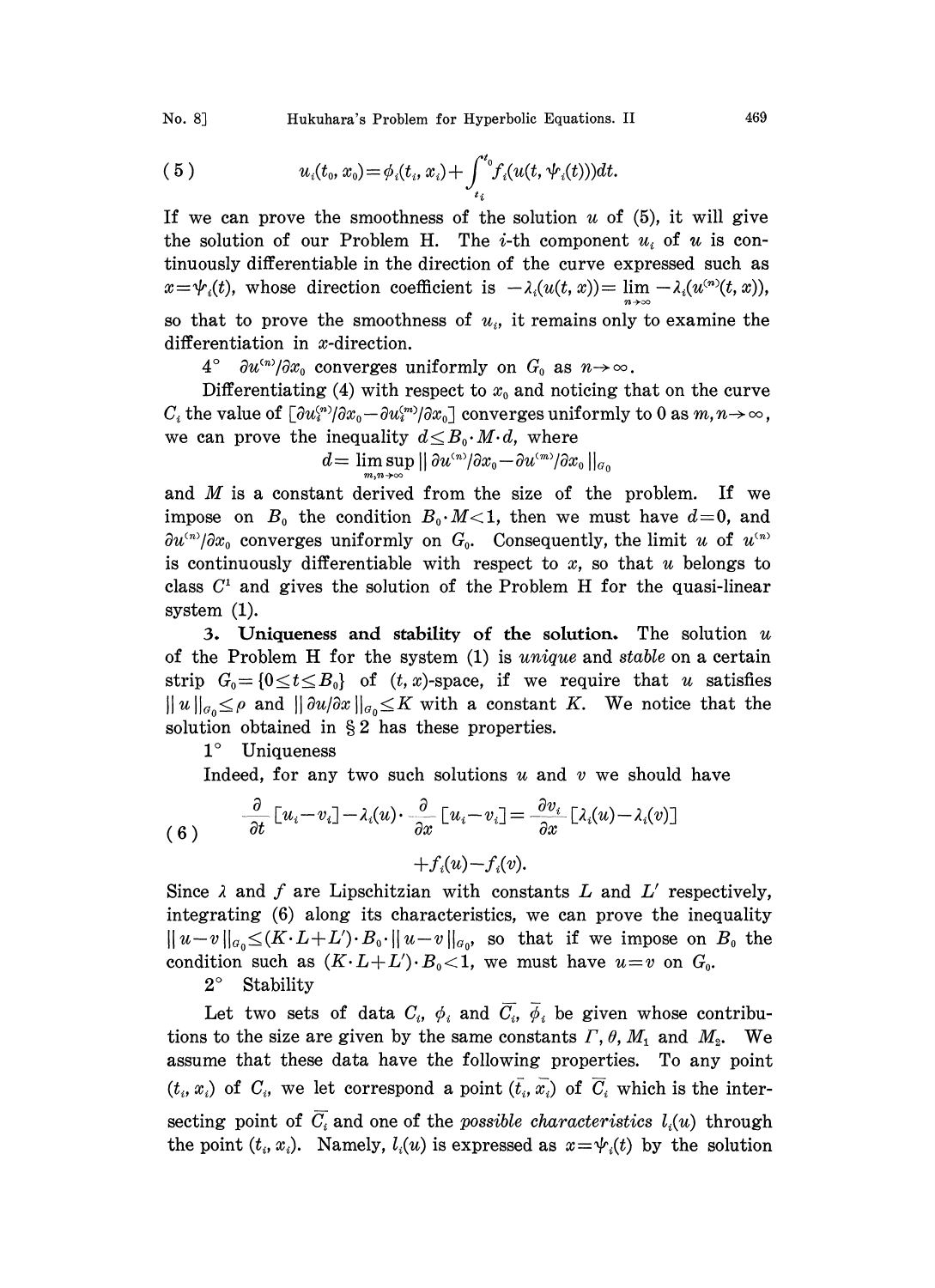No. 8] Hukuhara's Problem for Hyperbolic Equations. II 469

(5) 
$$
u_i(t_0, x_0) = \phi_i(t_i, x_i) + \int_{t_i}^{t_0} f_i(u(t, \psi_i(t))) dt.
$$

If we can prove the smoothness of the solution u of  $(5)$ , it will give the solution of our Problem H. The *i*-th component  $u_i$  of u is continuously differentiable in the direction of the curve expressed such as  $x = \psi_i(t)$ , whose direction coefficient is  $-\lambda_i(u(t, x)) = \lim_{h \to 0} -\lambda_i(u^{(n)}(t, x))$ , so that to prove the smoothness of  $u_i$ , it remains only to examine the differentiation in x-direction.

 $4^{\circ}$   $\partial u^{(n)}/\partial x_0$  converges uniformly on  $G_0$  as  $n \rightarrow \infty$ .

Differentiating (4) with respect to  $x_0$  and noticing that on the curve  $C_i$  the value of  $\left[\partial u_i^{(n)}/\partial x_0 - \partial u_i^{(m)}/\partial x_0\right]$  converges uniformly to 0 as  $m, n \to \infty$ , we can prove the inequality  $d\leq B_0\cdot M\cdot d$ , where

$$
d=\limsup_{m\to\infty}||\partial u^{(n)}/\partial x_0-\partial u^{(m)}/\partial x_0||_{\alpha_0}
$$

and  $M$  is a constant derived from the size of the problem. If we impose on  $B_0$  the condition  $B_0 \cdot M < 1$ , then we must have  $d=0$ , and  $\partial u^{(n)}/\partial x_0$  converges uniformly on  $G_0$ . Consequently, the limit u of  $u^{(n)}$ is continuously differentiable with respect to  $x$ , so that  $u$  belongs to class  $C<sup>1</sup>$  and gives the solution of the Problem H for the quasi-linear system (1).

3. Uniqueness and stability of the solution. The solution  $u$ of the Problem H for the system  $(1)$  is *unique* and *stable* on a certain strip  $G_0 = \{0 \le t \le B_0\}$  of  $(t, x)$ -space, if we require that u satisfies  $||u||_{\alpha_0} \leq \rho$  and  $||\partial u/\partial x||_{\alpha_0} \leq K$  with a constant K. We notice that the solution obtained in  $\S 2$  has these properties.

1° Uniqueness

Indeed, for any two such solutions  $u$  and  $v$  we should have

(6) 
$$
\frac{\partial}{\partial t} \left[ u_i - v_i \right] - \lambda_i(u) \cdot \frac{\partial}{\partial x} \left[ u_i - v_i \right] = \frac{\partial v_i}{\partial x} \left[ \lambda_i(u) - \lambda_i(v) \right] + f_i(u) - f_i(v).
$$

Since  $\lambda$  and  $f$  are Lipschitzian with constants  $L$  and  $L'$  respectively, integrating (6) along its characteristics, we can prove the inequality  $||u-v||_{a_0} \leq (K \cdot L + L') \cdot B_0 \cdot ||u-v||_{a_0}$ , so that if we impose on  $B_0$  the condition such as  $(K \cdot L + L') \cdot B_0 < 1$ , we must have  $u = v$  on  $G_0$ .

 $2^{\circ}$  Stability

Let two sets of data  $C_i$ ,  $\phi_i$  and  $\overline{C_i}$ ,  $\overline{\phi}_i$  be given whose contributions to the size are given by the same constants  $\Gamma$ ,  $\theta$ ,  $M_1$  and  $M_2$ . We assume that these data have the following properties. To any point  $(t_i, x_i)$  of  $C_i$ , we let correspond a point  $(\bar{t}_i, \bar{x}_i)$  of  $\bar{C}_i$  which is the intersecting point of  $\overline{C}_i$  and one of the possible characteristics  $l_i(u)$  through the point  $(t_i, x_i)$ . Namely,  $l_i(u)$  is expressed as  $x = \psi_i(t)$  by the solution